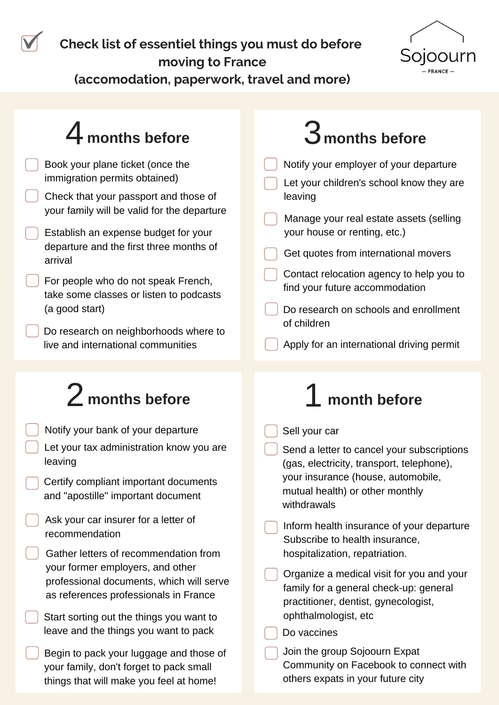**Check list of essentiel things you must do before moving to France**



**(accomodation, paperwork, travel and more)**

#### Book your plane ticket (once the immigration permits obtained) Check that your passport and those of your family will be valid for the departure Establish an expense budget for your departure and the first three months of arrival **months before months before** Notify your employer of your departure  $2$  months before  $1$ Notify your bank of your departure **month before** Sell your car  $\boldsymbol{4}$  months before For people who do not speak French, take some classes or listen to podcasts (a good start) Contact relocation agency to help you to find your future accommodation Let your children's school know they are leaving Manage your real estate assets (selling your house or renting, etc.) Get quotes from international movers Do research on neighborhoods where to live and international communities Do research on schools and enrollment of children Apply for an international driving permit Let your tax administration know you are leaving Certify compliant important documents and "apostille" important document Ask your car insurer for a letter of recommendation Gather letters of recommendation from your former employers, and other professional documents, which will serve as references professionals in France Start sorting out the things you want to leave and the things you want to pack Begin to pack your luggage and those of your family, don't forget to pack small things that will make you feel at home! Send a letter to cancel your subscriptions (gas, electricity, transport, telephone), your insurance (house, automobile, mutual health) or other monthly withdrawals Inform health insurance of your departure Subscribe to health insurance, hospitalization, repatriation. Organize a medical visit for you and your family for a general check-up: general practitioner, dentist, gynecologist, ophthalmologist, etc Do vaccines Join the group Sojoourn Expat Community on Facebook to connect with others expats in your future city